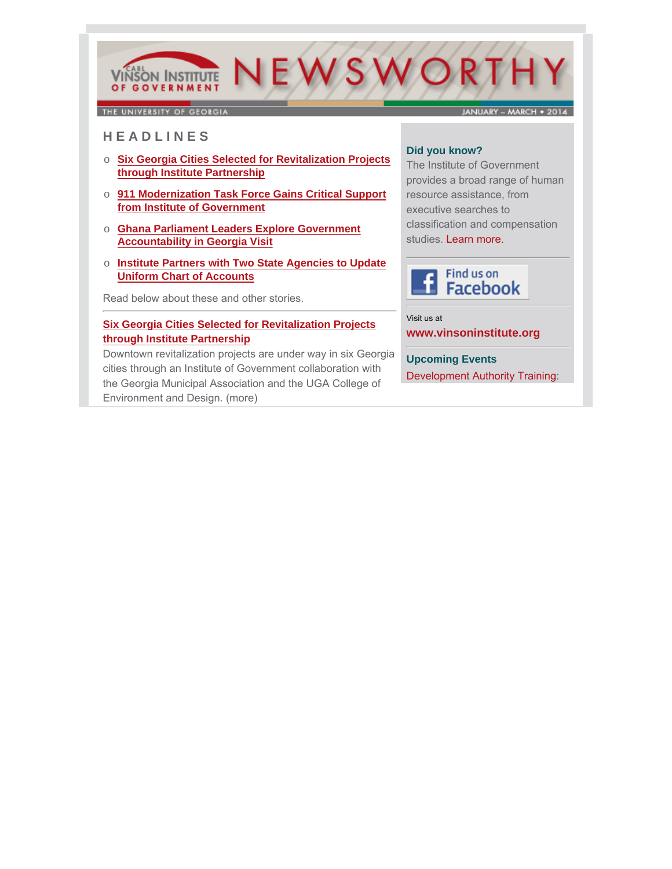# NEWSWORTH **VINSON INSTITUTE** OF GOVERNMENT

THE UNIVERSITY OF GEORGIA

JANUARY - MARCH . 2014

# **H E A D L I N E S**

- o **Six Georgia Cities Selected for Revitalization Projects through Institute Partnership**
- o **911 Modernization Task Force Gains Critical Support from Institute of Government**
- o **Ghana Parliament Leaders Explore Government Accountability in Georgia Visit**
- o **Institute Partners with Two State Agencies to Update Uniform Chart of Accounts**

Read below about these and other stories.

# **Six Georgia Cities Selected for Revitalization Projects through Institute Partnership**

[Downtown revitalization projects are under way in six Georg](http://cviog.uga.edu/news/spotlights/021414-revitalization.html)ia cities through an Institute of Government collaboration with the Georgia Municipal Association and the UGA College of Environment and Design. (more)

### **Did you know?**

The Institute of Government provides a broad range of human resource assistance, from executive searches to classification and compensation studies. Learn more.



Visit us at **[www.vinsoninstitute.org](http://www.cviog.uga.edu)**

**Upcoming Events** Development Authority Training: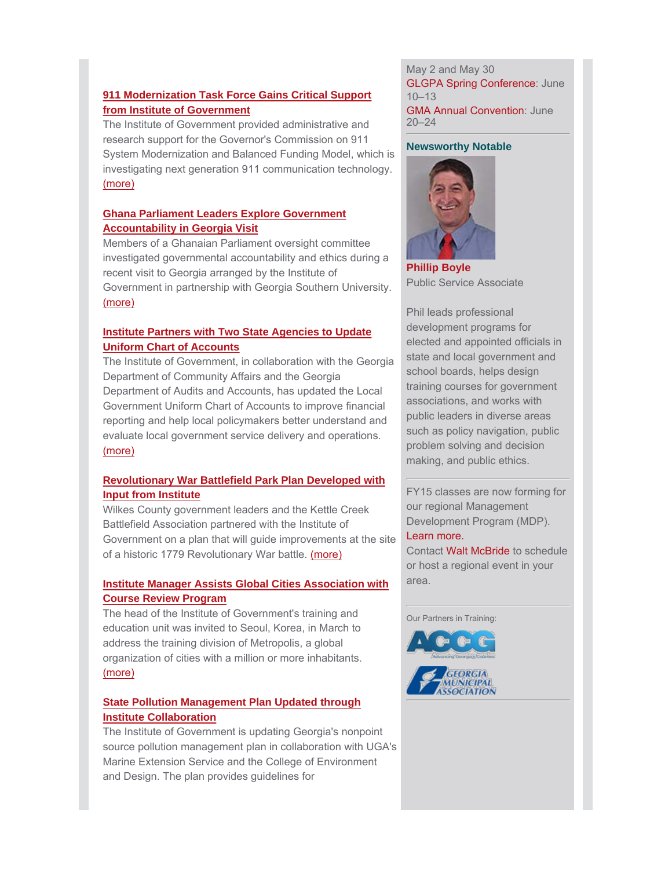### **911 Modernization Task Force Gains Critical Support from Institute of Government**

The Institute of Government provided administrative and research support for the Governor's Commission on 911 [System Modernization and Balanced Funding Model, whi](http://cviog.uga.edu/news/spotlights/030314-911.html)ch is investigating next generation 911 communication technology. (more)

### **Ghana Parliament Leaders Explore Government Accountability in Georgia Visit**

Members of a Ghanaian Parliament oversight committee investigated governmental accountability and ethics during a recent visit to Georgia arranged by the Institute of [Government in partnership with Georgia Southern University.](http://cviog.uga.edu/news/spotlights/033114-ghana.html) (more)

## **Institute Partners with Two State Agencies to Update Uniform Chart of Accounts**

[The Institute of Government, in collaboration with the Georgia](http://cviog.uga.edu/news/spotlights/020314-chart-accounts.html) Department of Community Affairs and the Georgia Department of Audits and Accounts, has updated the Local Government Uniform Chart of Accounts to improve financial reporting and help local policymakers better understand and evaluate local government service delivery and operations. (more)

### **[Revolutionary War Battlefield Park Plan Developed with](http://cviog.uga.edu/news/spotlights/010614-battlefield.html) Input from Institute**

Wilkes County government leaders and the Kettle Creek Battlefield Association partnered with the Institute of Government on a plan that will guide improvements at the site of a historic 1779 Revolutionary War battle. (more)

### **[Institute Manager Assists Global Cities Association with](http://cviog.uga.edu/news/spotlights/031914-global-association.html) Course Review Program**

The head of the Institute of Government's training and education unit was invited to Seoul, Korea, in March to address the training division of Metropolis, a global organization of cities with a million or more inhabitants. (more)

## **State Pollution Management Plan Updated through Institute Collaboration**

[The Institute of Government is updating Georgia's nonpoint](http://cviog.uga.edu/news/spotlights/032414-marex.html) source pollution management plan in collaboration with UGA's Marine Extension Service and the College of Environment and Design. The plan provides guidelines for

#### May 2 and May 30 GLGPA Spring Conference: June 10–13 GMA Annual Convention: June 20–24

#### **Newsworthy Notable**



**[Phillip Boyle](http://www.cviog.uga.edu/about-us/faculty-staff/phillip-boyle.html)** Public Service Associate

Phil leads professional development programs for elected and appointed officials in state and local government and school boards, helps design training courses for government associations, and works with public leaders in diverse areas such as policy navigation, public problem solving and decision making, and public ethics.

FY15 classes are now forming for our regional Management Development Program (MDP). [Learn more.](http://cviog.uga.edu/training-and-education/leadership-development/mdp.html)

Contac[t Walt McBride](http://cviog.uga.edu/about-us/faculty-staff/walt-mcbride.html) to schedule or host a regional event in your area.

Our Partners in Training: